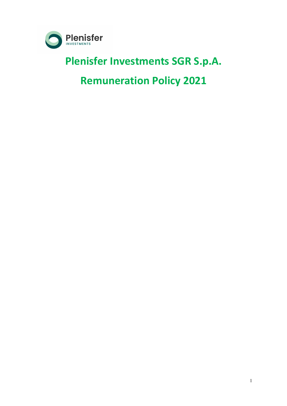

## **Plenisfer Investments SGR S.p.A.**

# **Remuneration Policy 2021**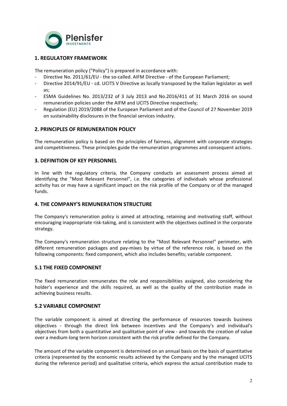

## **1. REGULATORY FRAMEWORK**

The remuneration policy ("Policy") is prepared in accordance with:

- Directive No. 2011/61/EU the so-called. AIFM Directive of the European Parliament;
- Directive 2014/91/EU cd. UCITS V Directive as locally transposed by the Italian legislator as well as;
- ESMA Guidelines No. 2013/232 of 3 July 2013 and No.2016/411 of 31 March 2016 on sound remuneration policies under the AIFM and UCITS Directive respectively;
- Regulation (EU) 2019/2088 of the European Parliament and of the Council of 27 November 2019 on sustainability disclosures in the financial services industry.

### **2. PRINCIPLES OF REMUNERATION POLICY**

The remuneration policy is based on the principles of fairness, alignment with corporate strategies and competitiveness. These principles guide the remuneration programmes and consequent actions.

### **3. DEFINITION OF KEY PERSONNEL**

In line with the regulatory criteria, the Company conducts an assessment process aimed at identifying the "Most Relevant Personnel", i.e. the categories of individuals whose professional activity has or may have a significant impact on the risk profile of the Company or of the managed funds. 

#### **4. THE COMPANY'S REMUNERATION STRUCTURE**

The Company's remuneration policy is aimed at attracting, retaining and motivating staff, without encouraging inappropriate risk-taking, and is consistent with the objectives outlined in the corporate strategy. 

The Company's remuneration structure relating to the "Most Relevant Personnel" perimeter, with different remuneration packages and pay-mixes by virtue of the reference role, is based on the following components: fixed component, which also includes benefits; variable component.

#### **5.1 THE FIXED COMPONENT**

The fixed remuneration remunerates the role and responsibilities assigned, also considering the holder's experience and the skills required, as well as the quality of the contribution made in achieving business results.

#### **5.2 VARIABLE COMPONENT**

The variable component is aimed at directing the performance of resources towards business objectives - through the direct link between incentives and the Company's and individual's objectives from both a quantitative and qualitative point of view - and towards the creation of value over a medium-long term horizon consistent with the risk profile defined for the Company.

The amount of the variable component is determined on an annual basis on the basis of quantitative criteria (represented by the economic results achieved by the Company and by the managed UCITS during the reference period) and qualitative criteria, which express the actual contribution made to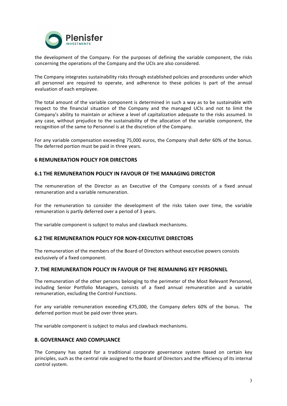

the development of the Company. For the purposes of defining the variable component, the risks concerning the operations of the Company and the UCIs are also considered.

The Company integrates sustainability risks through established policies and procedures under which all personnel are required to operate, and adherence to these policies is part of the annual evaluation of each employee.

The total amount of the variable component is determined in such a way as to be sustainable with respect to the financial situation of the Company and the managed UCIs and not to limit the Company's ability to maintain or achieve a level of capitalization adequate to the risks assumed. In any case, without prejudice to the sustainability of the allocation of the variable component, the recognition of the same to Personnel is at the discretion of the Company.

For any variable compensation exceeding 75,000 euros, the Company shall defer 60% of the bonus. The deferred portion must be paid in three years.

#### **6 REMUNERATION POLICY FOR DIRECTORS**

#### **6.1 THE REMUNERATION POLICY IN FAVOUR OF THE MANAGING DIRECTOR**

The remuneration of the Director as an Executive of the Company consists of a fixed annual remuneration and a variable remuneration.

For the remuneration to consider the development of the risks taken over time, the variable remuneration is partly deferred over a period of 3 years.

The variable component is subject to malus and clawback mechanisms.

#### **6.2 THE REMUNERATION POLICY FOR NON-EXECUTIVE DIRECTORS**

The remuneration of the members of the Board of Directors without executive powers consists exclusively of a fixed component.

#### **7. THE REMUNERATION POLICY IN FAVOUR OF THE REMAINING KEY PERSONNEL**

The remuneration of the other persons belonging to the perimeter of the Most Relevant Personnel, including Senior Portfolio Managers, consists of a fixed annual remuneration and a variable remuneration, excluding the Control Functions.

For any variable remuneration exceeding  $E$ 75,000, the Company defers 60% of the bonus. The deferred portion must be paid over three years.

The variable component is subiect to malus and clawback mechanisms.

#### **8. GOVERNANCE AND COMPLIANCE**

The Company has opted for a traditional corporate governance system based on certain key principles, such as the central role assigned to the Board of Directors and the efficiency of its internal control system.